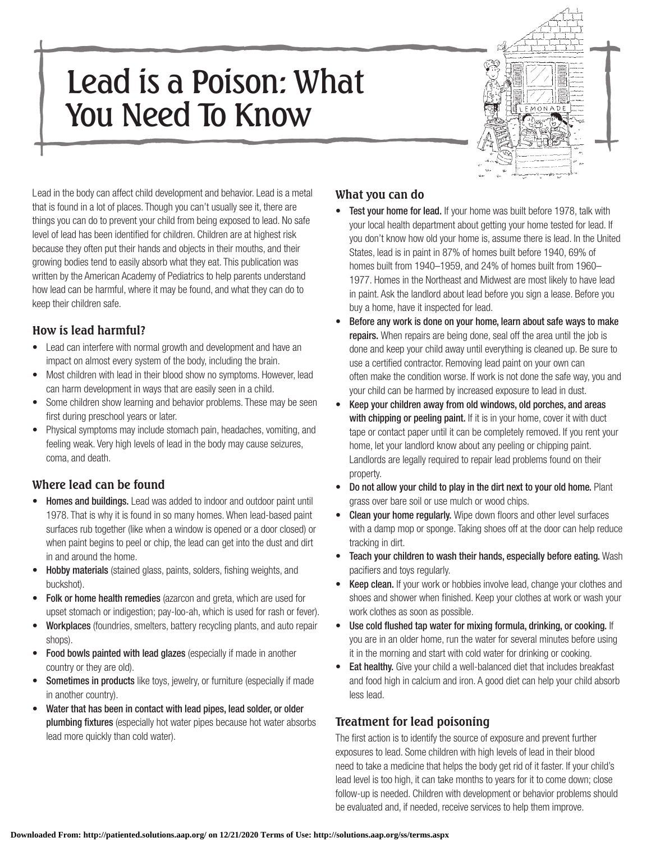# Lead is a Poison: What You Need To Know



Lead in the body can affect child development and behavior. Lead is a metal that is found in a lot of places. Though you can't usually see it, there are things you can do to prevent your child from being exposed to lead. No safe level of lead has been identified for children. Children are at highest risk because they often put their hands and objects in their mouths, and their growing bodies tend to easily absorb what they eat. This publication was written by the American Academy of Pediatrics to help parents understand how lead can be harmful, where it may be found, and what they can do to keep their children safe.

### **How is lead harmful?**

- Lead can interfere with normal growth and development and have an impact on almost every system of the body, including the brain.
- Most children with lead in their blood show no symptoms. However, lead can harm development in ways that are easily seen in a child.
- Some children show learning and behavior problems. These may be seen first during preschool years or later.
- • Physical symptoms may include stomach pain, headaches, vomiting, and feeling weak. Very high levels of lead in the body may cause seizures, coma, and death.

## **Where lead can be found**

- Homes and buildings. Lead was added to indoor and outdoor paint until 1978. That is why it is found in so many homes. When lead-based paint surfaces rub together (like when a window is opened or a door closed) or when paint begins to peel or chip, the lead can get into the dust and dirt in and around the home.
- Hobby materials (stained glass, paints, solders, fishing weights, and buckshot).
- Folk or home health remedies (azarcon and greta, which are used for upset stomach or indigestion; pay-loo-ah, which is used for rash or fever).
- Workplaces (foundries, smelters, battery recycling plants, and auto repair shops).
- Food bowls painted with lead glazes (especially if made in another country or they are old).
- Sometimes in products like toys, jewelry, or furniture (especially if made in another country).
- Water that has been in contact with lead pipes, lead solder, or older plumbing fixtures (especially hot water pipes because hot water absorbs lead more quickly than cold water).

## **What you can do**

- Test your home for lead. If your home was built before 1978, talk with your local health department about getting your home tested for lead. If you don't know how old your home is, assume there is lead. In the United States, lead is in paint in 87% of homes built before 1940, 69% of homes built from 1940–1959, and 24% of homes built from 1960– 1977. Homes in the Northeast and Midwest are most likely to have lead in paint. Ask the landlord about lead before you sign a lease. Before you buy a home, have it inspected for lead.
- Before any work is done on your home, learn about safe ways to make repairs. When repairs are being done, seal off the area until the job is done and keep your child away until everything is cleaned up. Be sure to use a certified contractor. Removing lead paint on your own can often make the condition worse. If work is not done the safe way, you and your child can be harmed by increased exposure to lead in dust.
- Keep your children away from old windows, old porches, and areas with chipping or peeling paint. If it is in your home, cover it with duct tape or contact paper until it can be completely removed. If you rent your home, let your landlord know about any peeling or chipping paint. Landlords are legally required to repair lead problems found on their property.
- Do not allow your child to play in the dirt next to your old home. Plant grass over bare soil or use mulch or wood chips.
- **Clean your home regularly.** Wipe down floors and other level surfaces with a damp mop or sponge. Taking shoes off at the door can help reduce tracking in dirt.
- Teach your children to wash their hands, especially before eating. Wash pacifiers and toys regularly.
- Keep clean. If your work or hobbies involve lead, change your clothes and shoes and shower when finished. Keep your clothes at work or wash your work clothes as soon as possible.
- Use cold flushed tap water for mixing formula, drinking, or cooking. If you are in an older home, run the water for several minutes before using it in the morning and start with cold water for drinking or cooking.
- Eat healthy. Give your child a well-balanced diet that includes breakfast and food high in calcium and iron. A good diet can help your child absorb less lead.

# **Treatment for lead poisoning**

The first action is to identify the source of exposure and prevent further exposures to lead. Some children with high levels of lead in their blood need to take a medicine that helps the body get rid of it faster. If your child's lead level is too high, it can take months to years for it to come down; close follow-up is needed. Children with development or behavior problems should be evaluated and, if needed, receive services to help them improve.